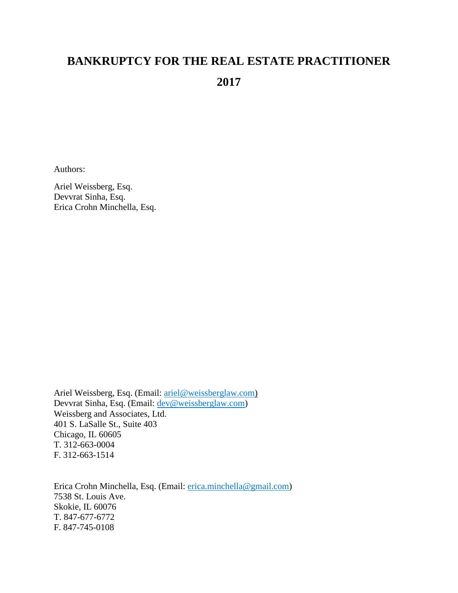# **BANKRUPTCY FOR THE REAL ESTATE PRACTITIONER 2017**

Authors:

Ariel Weissberg, Esq. Devvrat Sinha, Esq. Erica Crohn Minchella, Esq.

Ariel Weissberg, Esq. (Email: [ariel@weissberglaw.com\)](mailto:ariel@weissberglaw.com) Devvrat Sinha, Esq. (Email: [dev@weissberglaw.com\)](mailto:dev@weissberglaw.com) Weissberg and Associates, Ltd. 401 S. LaSalle St., Suite 403 Chicago, IL 60605 T. 312-663-0004 F. 312-663-1514

Erica Crohn Minchella, Esq. (Email: [erica.minchella@gmail.com\)](mailto:erica.minchella@gmail.com) 7538 St. Louis Ave. Skokie, IL 60076 T. 847-677-6772 F. 847-745-0108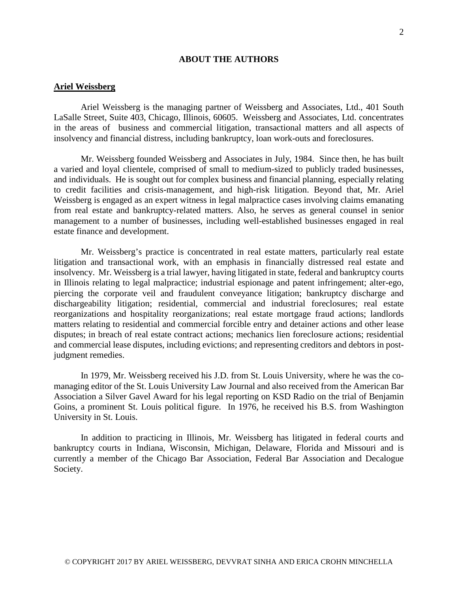# **ABOUT THE AUTHORS**

# **Ariel Weissberg**

Ariel Weissberg is the managing partner of Weissberg and Associates, Ltd., 401 South LaSalle Street, Suite 403, Chicago, Illinois, 60605. Weissberg and Associates, Ltd. concentrates in the areas of business and commercial litigation, transactional matters and all aspects of insolvency and financial distress, including bankruptcy, loan work-outs and foreclosures.

Mr. Weissberg founded Weissberg and Associates in July, 1984. Since then, he has built a varied and loyal clientele, comprised of small to medium-sized to publicly traded businesses, and individuals. He is sought out for complex business and financial planning, especially relating to credit facilities and crisis-management, and high-risk litigation. Beyond that, Mr. Ariel Weissberg is engaged as an expert witness in legal malpractice cases involving claims emanating from real estate and bankruptcy-related matters. Also, he serves as general counsel in senior management to a number of businesses, including well-established businesses engaged in real estate finance and development.

Mr. Weissberg's practice is concentrated in real estate matters, particularly real estate litigation and transactional work, with an emphasis in financially distressed real estate and insolvency. Mr. Weissberg is a trial lawyer, having litigated in state, federal and bankruptcy courts in Illinois relating to legal malpractice; industrial espionage and patent infringement; alter-ego, piercing the corporate veil and fraudulent conveyance litigation; bankruptcy discharge and dischargeability litigation; residential, commercial and industrial foreclosures; real estate reorganizations and hospitality reorganizations; real estate mortgage fraud actions; landlords matters relating to residential and commercial forcible entry and detainer actions and other lease disputes; in breach of real estate contract actions; mechanics lien foreclosure actions; residential and commercial lease disputes, including evictions; and representing creditors and debtors in postjudgment remedies.

In 1979, Mr. Weissberg received his J.D. from St. Louis University, where he was the comanaging editor of the St. Louis University Law Journal and also received from the American Bar Association a Silver Gavel Award for his legal reporting on KSD Radio on the trial of Benjamin Goins, a prominent St. Louis political figure. In 1976, he received his B.S. from Washington University in St. Louis.

In addition to practicing in Illinois, Mr. Weissberg has litigated in federal courts and bankruptcy courts in Indiana, Wisconsin, Michigan, Delaware, Florida and Missouri and is currently a member of the Chicago Bar Association, Federal Bar Association and Decalogue Society.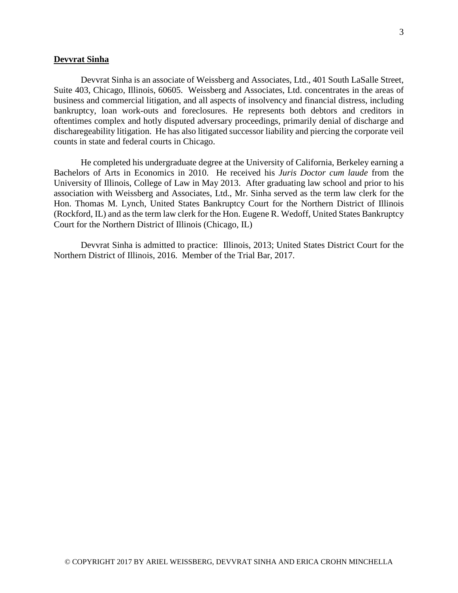# **Devvrat Sinha**

Devvrat Sinha is an associate of Weissberg and Associates, Ltd., 401 South LaSalle Street, Suite 403, Chicago, Illinois, 60605. Weissberg and Associates, Ltd. concentrates in the areas of business and commercial litigation, and all aspects of insolvency and financial distress, including bankruptcy, loan work-outs and foreclosures. He represents both debtors and creditors in oftentimes complex and hotly disputed adversary proceedings, primarily denial of discharge and discharegeability litigation. He has also litigated successor liability and piercing the corporate veil counts in state and federal courts in Chicago.

He completed his undergraduate degree at the University of California, Berkeley earning a Bachelors of Arts in Economics in 2010. He received his *Juris Doctor cum laude* from the University of Illinois, College of Law in May 2013. After graduating law school and prior to his association with Weissberg and Associates, Ltd., Mr. Sinha served as the term law clerk for the Hon. Thomas M. Lynch, United States Bankruptcy Court for the Northern District of Illinois (Rockford, IL) and as the term law clerk for the Hon. Eugene R. Wedoff, United States Bankruptcy Court for the Northern District of Illinois (Chicago, IL)

Devvrat Sinha is admitted to practice: Illinois, 2013; United States District Court for the Northern District of Illinois, 2016. Member of the Trial Bar, 2017.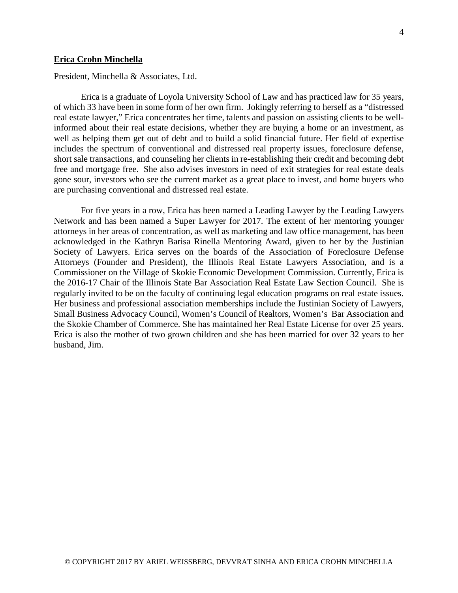#### **Erica Crohn Minchella**

President, Minchella & Associates, Ltd.

Erica is a graduate of Loyola University School of Law and has practiced law for 35 years, of which 33 have been in some form of her own firm. Jokingly referring to herself as a "distressed real estate lawyer," Erica concentrates her time, talents and passion on assisting clients to be wellinformed about their real estate decisions, whether they are buying a home or an investment, as well as helping them get out of debt and to build a solid financial future. Her field of expertise includes the spectrum of conventional and distressed real property issues, foreclosure defense, short sale transactions, and counseling her clients in re-establishing their credit and becoming debt free and mortgage free. She also advises investors in need of exit strategies for real estate deals gone sour, investors who see the current market as a great place to invest, and home buyers who are purchasing conventional and distressed real estate.

For five years in a row, Erica has been named a Leading Lawyer by the Leading Lawyers Network and has been named a Super Lawyer for 2017. The extent of her mentoring younger attorneys in her areas of concentration, as well as marketing and law office management, has been acknowledged in the Kathryn Barisa Rinella Mentoring Award, given to her by the Justinian Society of Lawyers. Erica serves on the boards of the Association of Foreclosure Defense Attorneys (Founder and President), the Illinois Real Estate Lawyers Association, and is a Commissioner on the Village of Skokie Economic Development Commission. Currently, Erica is the 2016-17 Chair of the Illinois State Bar Association Real Estate Law Section Council. She is regularly invited to be on the faculty of continuing legal education programs on real estate issues. Her business and professional association memberships include the Justinian Society of Lawyers, Small Business Advocacy Council, Women's Council of Realtors, Women's Bar Association and the Skokie Chamber of Commerce. She has maintained her Real Estate License for over 25 years. Erica is also the mother of two grown children and she has been married for over 32 years to her husband, Jim.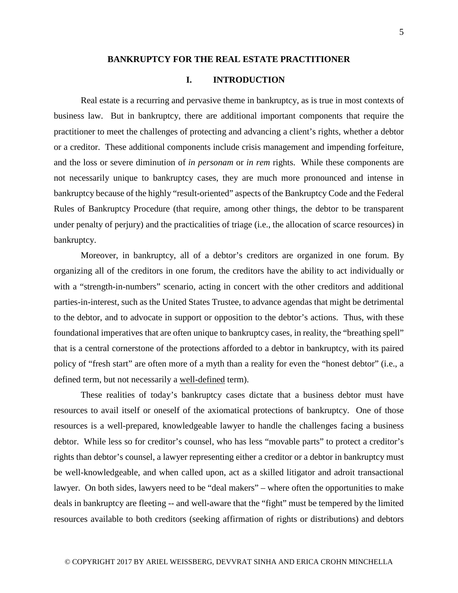#### **BANKRUPTCY FOR THE REAL ESTATE PRACTITIONER**

# **I. INTRODUCTION**

Real estate is a recurring and pervasive theme in bankruptcy, as is true in most contexts of business law. But in bankruptcy, there are additional important components that require the practitioner to meet the challenges of protecting and advancing a client's rights, whether a debtor or a creditor. These additional components include crisis management and impending forfeiture, and the loss or severe diminution of *in personam* or *in rem* rights. While these components are not necessarily unique to bankruptcy cases, they are much more pronounced and intense in bankruptcy because of the highly "result-oriented" aspects of the Bankruptcy Code and the Federal Rules of Bankruptcy Procedure (that require, among other things, the debtor to be transparent under penalty of perjury) and the practicalities of triage (i.e., the allocation of scarce resources) in bankruptcy.

Moreover, in bankruptcy, all of a debtor's creditors are organized in one forum. By organizing all of the creditors in one forum, the creditors have the ability to act individually or with a "strength-in-numbers" scenario, acting in concert with the other creditors and additional parties-in-interest, such as the United States Trustee, to advance agendas that might be detrimental to the debtor, and to advocate in support or opposition to the debtor's actions. Thus, with these foundational imperatives that are often unique to bankruptcy cases, in reality, the "breathing spell" that is a central cornerstone of the protections afforded to a debtor in bankruptcy, with its paired policy of "fresh start" are often more of a myth than a reality for even the "honest debtor" (i.e., a defined term, but not necessarily a well-defined term).

These realities of today's bankruptcy cases dictate that a business debtor must have resources to avail itself or oneself of the axiomatical protections of bankruptcy. One of those resources is a well-prepared, knowledgeable lawyer to handle the challenges facing a business debtor. While less so for creditor's counsel, who has less "movable parts" to protect a creditor's rights than debtor's counsel, a lawyer representing either a creditor or a debtor in bankruptcy must be well-knowledgeable, and when called upon, act as a skilled litigator and adroit transactional lawyer. On both sides, lawyers need to be "deal makers" – where often the opportunities to make deals in bankruptcy are fleeting -- and well-aware that the "fight" must be tempered by the limited resources available to both creditors (seeking affirmation of rights or distributions) and debtors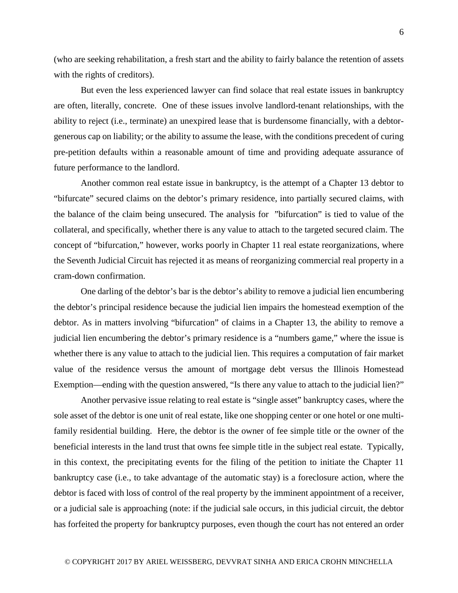(who are seeking rehabilitation, a fresh start and the ability to fairly balance the retention of assets with the rights of creditors).

But even the less experienced lawyer can find solace that real estate issues in bankruptcy are often, literally, concrete. One of these issues involve landlord-tenant relationships, with the ability to reject (i.e., terminate) an unexpired lease that is burdensome financially, with a debtorgenerous cap on liability; or the ability to assume the lease, with the conditions precedent of curing pre-petition defaults within a reasonable amount of time and providing adequate assurance of future performance to the landlord.

Another common real estate issue in bankruptcy, is the attempt of a Chapter 13 debtor to "bifurcate" secured claims on the debtor's primary residence, into partially secured claims, with the balance of the claim being unsecured. The analysis for "bifurcation" is tied to value of the collateral, and specifically, whether there is any value to attach to the targeted secured claim. The concept of "bifurcation," however, works poorly in Chapter 11 real estate reorganizations, where the Seventh Judicial Circuit has rejected it as means of reorganizing commercial real property in a cram-down confirmation.

One darling of the debtor's bar is the debtor's ability to remove a judicial lien encumbering the debtor's principal residence because the judicial lien impairs the homestead exemption of the debtor. As in matters involving "bifurcation" of claims in a Chapter 13, the ability to remove a judicial lien encumbering the debtor's primary residence is a "numbers game," where the issue is whether there is any value to attach to the judicial lien. This requires a computation of fair market value of the residence versus the amount of mortgage debt versus the Illinois Homestead Exemption—ending with the question answered, "Is there any value to attach to the judicial lien?"

Another pervasive issue relating to real estate is "single asset" bankruptcy cases, where the sole asset of the debtor is one unit of real estate, like one shopping center or one hotel or one multifamily residential building. Here, the debtor is the owner of fee simple title or the owner of the beneficial interests in the land trust that owns fee simple title in the subject real estate. Typically, in this context, the precipitating events for the filing of the petition to initiate the Chapter 11 bankruptcy case (i.e., to take advantage of the automatic stay) is a foreclosure action, where the debtor is faced with loss of control of the real property by the imminent appointment of a receiver, or a judicial sale is approaching (note: if the judicial sale occurs, in this judicial circuit, the debtor has forfeited the property for bankruptcy purposes, even though the court has not entered an order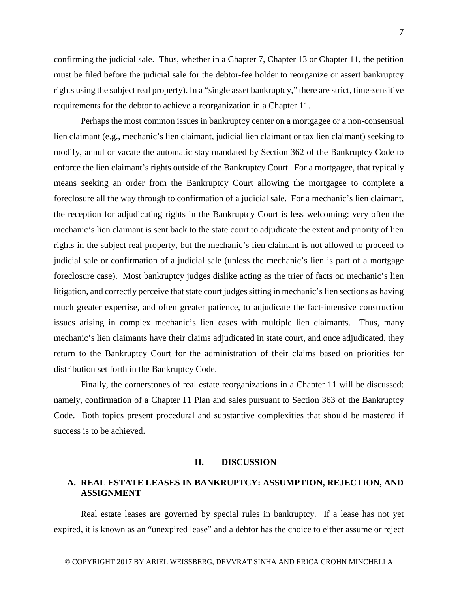7

confirming the judicial sale. Thus, whether in a Chapter 7, Chapter 13 or Chapter 11, the petition must be filed before the judicial sale for the debtor-fee holder to reorganize or assert bankruptcy rights using the subject real property). In a "single asset bankruptcy," there are strict, time-sensitive requirements for the debtor to achieve a reorganization in a Chapter 11.

Perhaps the most common issues in bankruptcy center on a mortgagee or a non-consensual lien claimant (e.g., mechanic's lien claimant, judicial lien claimant or tax lien claimant) seeking to modify, annul or vacate the automatic stay mandated by Section 362 of the Bankruptcy Code to enforce the lien claimant's rights outside of the Bankruptcy Court. For a mortgagee, that typically means seeking an order from the Bankruptcy Court allowing the mortgagee to complete a foreclosure all the way through to confirmation of a judicial sale. For a mechanic's lien claimant, the reception for adjudicating rights in the Bankruptcy Court is less welcoming: very often the mechanic's lien claimant is sent back to the state court to adjudicate the extent and priority of lien rights in the subject real property, but the mechanic's lien claimant is not allowed to proceed to judicial sale or confirmation of a judicial sale (unless the mechanic's lien is part of a mortgage foreclosure case). Most bankruptcy judges dislike acting as the trier of facts on mechanic's lien litigation, and correctly perceive that state court judges sitting in mechanic's lien sections as having much greater expertise, and often greater patience, to adjudicate the fact-intensive construction issues arising in complex mechanic's lien cases with multiple lien claimants. Thus, many mechanic's lien claimants have their claims adjudicated in state court, and once adjudicated, they return to the Bankruptcy Court for the administration of their claims based on priorities for distribution set forth in the Bankruptcy Code.

Finally, the cornerstones of real estate reorganizations in a Chapter 11 will be discussed: namely, confirmation of a Chapter 11 Plan and sales pursuant to Section 363 of the Bankruptcy Code. Both topics present procedural and substantive complexities that should be mastered if success is to be achieved.

# **II. DISCUSSION**

# **A. REAL ESTATE LEASES IN BANKRUPTCY: ASSUMPTION, REJECTION, AND ASSIGNMENT**

Real estate leases are governed by special rules in bankruptcy. If a lease has not yet expired, it is known as an "unexpired lease" and a debtor has the choice to either assume or reject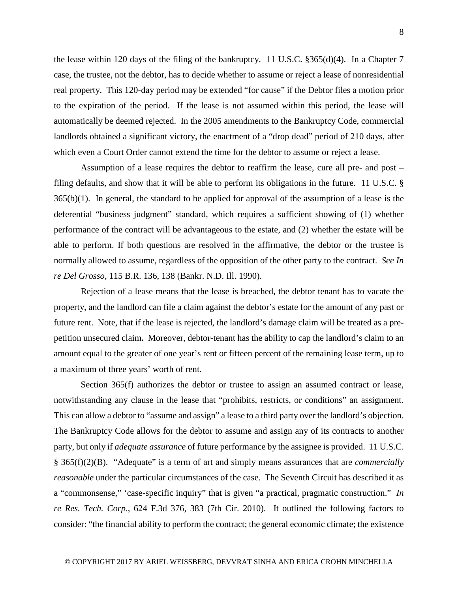the lease within 120 days of the filing of the bankruptcy. 11 U.S.C.  $\S 365(d)(4)$ . In a Chapter 7 case, the trustee, not the debtor, has to decide whether to assume or reject a lease of nonresidential real property. This 120-day period may be extended "for cause" if the Debtor files a motion prior to the expiration of the period. If the lease is not assumed within this period, the lease will automatically be deemed rejected. In the 2005 amendments to the Bankruptcy Code, commercial landlords obtained a significant victory, the enactment of a "drop dead" period of 210 days, after which even a Court Order cannot extend the time for the debtor to assume or reject a lease.

Assumption of a lease requires the debtor to reaffirm the lease, cure all pre- and post – filing defaults, and show that it will be able to perform its obligations in the future. 11 U.S.C. §  $365(b)(1)$ . In general, the standard to be applied for approval of the assumption of a lease is the deferential "business judgment" standard, which requires a sufficient showing of (1) whether performance of the contract will be advantageous to the estate, and (2) whether the estate will be able to perform. If both questions are resolved in the affirmative, the debtor or the trustee is normally allowed to assume, regardless of the opposition of the other party to the contract. *See In re Del Grosso*, 115 B.R. 136, 138 (Bankr. N.D. Ill. 1990).

Rejection of a lease means that the lease is breached, the debtor tenant has to vacate the property, and the landlord can file a claim against the debtor's estate for the amount of any past or future rent. Note, that if the lease is rejected, the landlord's damage claim will be treated as a prepetition unsecured claim**.** Moreover, debtor-tenant has the ability to cap the landlord's claim to an amount equal to the greater of one year's rent or fifteen percent of the remaining lease term, up to a maximum of three years' worth of rent.

Section 365(f) authorizes the debtor or trustee to assign an assumed contract or lease, notwithstanding any clause in the lease that "prohibits, restricts, or conditions" an assignment. This can allow a debtor to "assume and assign" a lease to a third party over the landlord's objection. The Bankruptcy Code allows for the debtor to assume and assign any of its contracts to another party, but only if *adequate assurance* of future performance by the assignee is provided. 11 U.S.C. § 365(f)(2)(B). "Adequate" is a term of art and simply means assurances that are *commercially reasonable* under the particular circumstances of the case. The Seventh Circuit has described it as a "commonsense," 'case-specific inquiry" that is given "a practical, pragmatic construction." *In re Res. Tech. Corp*., 624 F.3d 376, 383 (7th Cir. 2010). It outlined the following factors to consider: "the financial ability to perform the contract; the general economic climate; the existence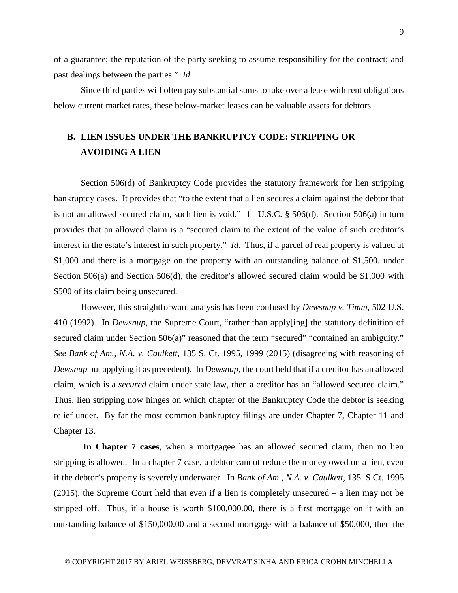of a guarantee; the reputation of the party seeking to assume responsibility for the contract; and past dealings between the parties." *Id.*

Since third parties will often pay substantial sums to take over a lease with rent obligations below current market rates, these below-market leases can be valuable assets for debtors.

# **B. LIEN ISSUES UNDER THE BANKRUPTCY CODE: STRIPPING OR AVOIDING A LIEN**

Section 506(d) of Bankruptcy Code provides the statutory framework for lien stripping bankruptcy cases. It provides that "to the extent that a lien secures a claim against the debtor that is not an allowed secured claim, such lien is void." 11 U.S.C. § 506(d). Section 506(a) in turn provides that an allowed claim is a "secured claim to the extent of the value of such creditor's interest in the estate's interest in such property." *Id.* Thus, if a parcel of real property is valued at \$1,000 and there is a mortgage on the property with an outstanding balance of \$1,500, under Section 506(a) and Section 506(d), the creditor's allowed secured claim would be \$1,000 with \$500 of its claim being unsecured.

However, this straightforward analysis has been confused by *Dewsnup v. Timm*, 502 U.S. 410 (1992). In *Dewsnup,* the Supreme Court, "rather than apply[ing] the statutory definition of secured claim under Section 506(a)" reasoned that the term "secured" "contained an ambiguity." *See Bank of Am., N.A. v. Caulkett*, 135 S. Ct. 1995, 1999 (2015) (disagreeing with reasoning of *Dewsnup* but applying it as precedent). In *Dewsnup,* the court held that if a creditor has an allowed claim, which is a *secured* claim under state law, then a creditor has an "allowed secured claim." Thus, lien stripping now hinges on which chapter of the Bankruptcy Code the debtor is seeking relief under. By far the most common bankruptcy filings are under Chapter 7, Chapter 11 and Chapter 13.

**In Chapter 7 cases**, when a mortgagee has an allowed secured claim, then no lien stripping is allowed. In a chapter 7 case, a debtor cannot reduce the money owed on a lien, even if the debtor's property is severely underwater. In *Bank of Am., N.A. v. Caulkett,* 135. S.Ct. 1995 (2015), the Supreme Court held that even if a lien is completely unsecured – a lien may not be stripped off. Thus, if a house is worth \$100,000.00, there is a first mortgage on it with an outstanding balance of \$150,000.00 and a second mortgage with a balance of \$50,000, then the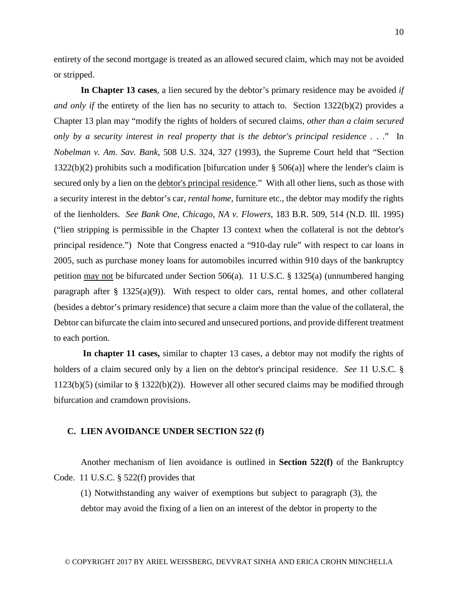entirety of the second mortgage is treated as an allowed secured claim, which may not be avoided or stripped.

**In Chapter 13 cases**, a lien secured by the debtor's primary residence may be avoided *if and only if the entirety of the lien has no security to attach to.* Section  $1322(b)(2)$  provides a Chapter 13 plan may "modify the rights of holders of secured claims, *other than a claim secured only by a security interest in real property that is the debtor's principal residence* . . ." In *Nobelman v. Am. Sav. Bank*, 508 U.S. 324, 327 (1993), the Supreme Court held that "Section 1322(b)(2) prohibits such a modification [bifurcation under § 506(a)] where the lender's claim is secured only by a lien on the debtor's principal residence." With all other liens, such as those with a security interest in the debtor's car, *rental home*, furniture etc., the debtor may modify the rights of the lienholders. *See Bank One, Chicago, NA v. Flowers*, 183 B.R. 509, 514 (N.D. Ill. 1995) ("lien stripping is permissible in the Chapter 13 context when the collateral is not the debtor's principal residence.") Note that Congress enacted a "910-day rule" with respect to car loans in 2005, such as purchase money loans for automobiles incurred within 910 days of the bankruptcy petition may not be bifurcated under Section 506(a). 11 U.S.C. § 1325(a) (unnumbered hanging paragraph after  $\S$  1325(a)(9)). With respect to older cars, rental homes, and other collateral (besides a debtor's primary residence) that secure a claim more than the value of the collateral, the Debtor can bifurcate the claim into secured and unsecured portions, and provide different treatment to each portion.

**In chapter 11 cases,** similar to chapter 13 cases, a debtor may not modify the rights of holders of a claim secured only by a lien on the debtor's principal residence. *See* 11 U.S.C. § 1123(b)(5) (similar to § 1322(b)(2)). However all other secured claims may be modified through bifurcation and cramdown provisions.

#### **C. LIEN AVOIDANCE UNDER SECTION 522 (f)**

Another mechanism of lien avoidance is outlined in **Section 522(f)** of the Bankruptcy Code. 11 U.S.C. § 522(f) provides that

(1) Notwithstanding any waiver of exemptions but subject to paragraph (3), the debtor may avoid the fixing of a lien on an interest of the debtor in property to the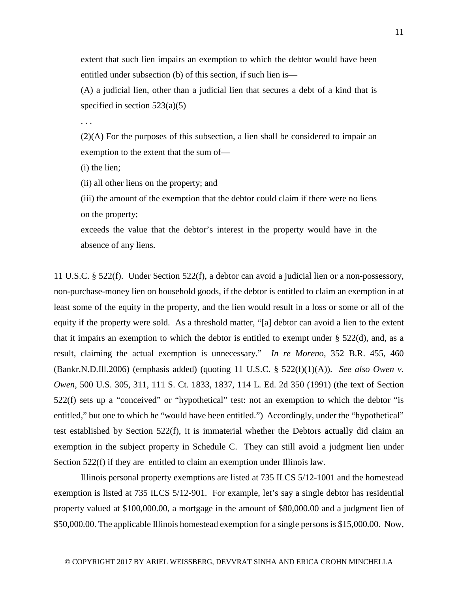extent that such lien impairs an exemption to which the debtor would have been entitled under subsection (b) of this section, if such lien is—

(A) a judicial lien, other than a judicial lien that secures a debt of a kind that is specified in section  $523(a)(5)$ 

. . .

(2)(A) For the purposes of this subsection, a lien shall be considered to impair an exemption to the extent that the sum of—

(i) the lien;

(ii) all other liens on the property; and

(iii) the amount of the exemption that the debtor could claim if there were no liens on the property;

exceeds the value that the debtor's interest in the property would have in the absence of any liens.

11 U.S.C. § 522(f). Under Section 522(f), a debtor can avoid a judicial lien or a non-possessory, non-purchase-money lien on household goods, if the debtor is entitled to claim an exemption in at least some of the equity in the property, and the lien would result in a loss or some or all of the equity if the property were sold. As a threshold matter, "[a] debtor can avoid a lien to the extent that it impairs an exemption to which the debtor is entitled to exempt under  $\S 522(d)$ , and, as a result, claiming the actual exemption is unnecessary." *In re Moreno*, 352 B.R. 455, 460 (Bankr.N.D.Ill.2006) (emphasis added) (quoting 11 U.S.C. § 522(f)(1)(A)). *See also Owen v. Owen*, 500 U.S. 305, 311, 111 S. Ct. 1833, 1837, 114 L. Ed. 2d 350 (1991) (the text of Section 522(f) sets up a "conceived" or "hypothetical" test: not an exemption to which the debtor "is entitled," but one to which he "would have been entitled.") Accordingly, under the "hypothetical" test established by Section 522(f), it is immaterial whether the Debtors actually did claim an exemption in the subject property in Schedule C. They can still avoid a judgment lien under Section 522(f) if they are entitled to claim an exemption under Illinois law.

Illinois personal property exemptions are listed at 735 ILCS 5/12-1001 and the homestead exemption is listed at 735 ILCS 5/12-901. For example, let's say a single debtor has residential property valued at \$100,000.00, a mortgage in the amount of \$80,000.00 and a judgment lien of \$50,000.00. The applicable Illinois homestead exemption for a single persons is \$15,000.00. Now,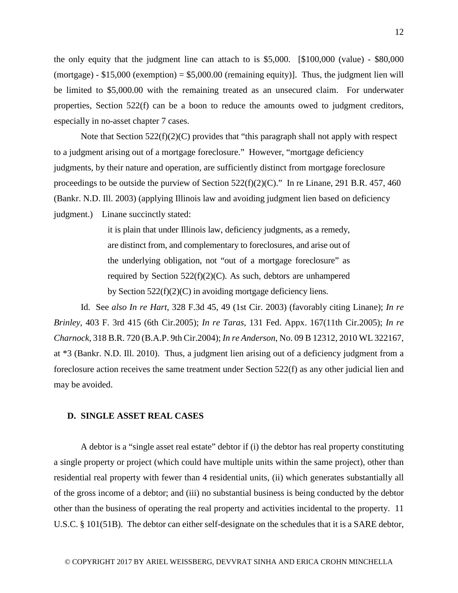the only equity that the judgment line can attach to is \$5,000. [\$100,000 (value) - \$80,000 (mortgage) -  $$15,000$  (exemption) =  $$5,000.00$  (remaining equity)]. Thus, the judgment lien will be limited to \$5,000.00 with the remaining treated as an unsecured claim. For underwater properties, Section 522(f) can be a boon to reduce the amounts owed to judgment creditors, especially in no-asset chapter 7 cases.

Note that Section 522(f)(2)(C) provides that "this paragraph shall not apply with respect to a judgment arising out of a mortgage foreclosure." However, "mortgage deficiency judgments, by their nature and operation, are sufficiently distinct from mortgage foreclosure proceedings to be outside the purview of Section  $522(f)(2)(C)$ ." In re Linane, 291 B.R. 457, 460 (Bankr. N.D. Ill. 2003) (applying Illinois law and avoiding judgment lien based on deficiency judgment.) Linane succinctly stated:

> it is plain that under Illinois law, deficiency judgments, as a remedy, are distinct from, and complementary to foreclosures, and arise out of the underlying obligation, not "out of a mortgage foreclosure" as required by Section 522(f)(2)(C). As such, debtors are unhampered by Section  $522(f)(2)(C)$  in avoiding mortgage deficiency liens.

Id. See *also In re Hart*, 328 F.3d 45, 49 (1st Cir. 2003) (favorably citing Linane); *In re Brinley*, 403 F. 3rd 415 (6th Cir.2005); *In re Taras*, 131 Fed. Appx. 167(11th Cir.2005); *In re Charnock*, 318 B.R. 720 (B.A.P. 9th Cir.2004); *In re Anderson*, No. 09 B 12312, 2010 WL 322167, at \*3 (Bankr. N.D. Ill. 2010). Thus, a judgment lien arising out of a deficiency judgment from a foreclosure action receives the same treatment under Section 522(f) as any other judicial lien and may be avoided.

## **D. SINGLE ASSET REAL CASES**

A debtor is a "single asset real estate" debtor if (i) the debtor has real property constituting a single property or project (which could have multiple units within the same project), other than residential real property with fewer than 4 residential units, (ii) which generates substantially all of the gross income of a debtor; and (iii) no substantial business is being conducted by the debtor other than the business of operating the real property and activities incidental to the property. 11 U.S.C. § 101(51B). The debtor can either self-designate on the schedules that it is a SARE debtor,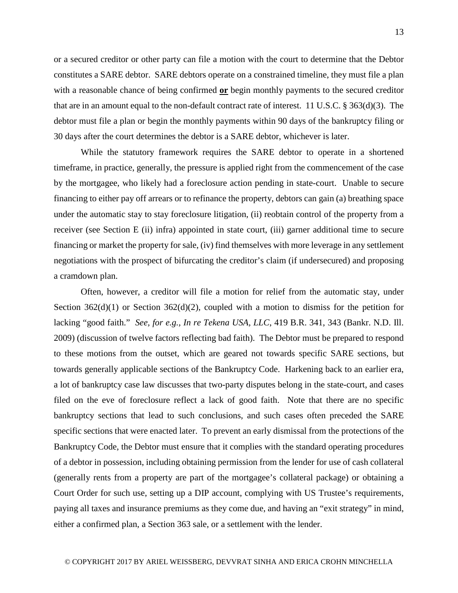or a secured creditor or other party can file a motion with the court to determine that the Debtor constitutes a SARE debtor. SARE debtors operate on a constrained timeline, they must file a plan with a reasonable chance of being confirmed **or** begin monthly payments to the secured creditor that are in an amount equal to the non-default contract rate of interest. 11 U.S.C. § 363(d)(3). The debtor must file a plan or begin the monthly payments within 90 days of the bankruptcy filing or 30 days after the court determines the debtor is a SARE debtor, whichever is later.

While the statutory framework requires the SARE debtor to operate in a shortened timeframe, in practice, generally, the pressure is applied right from the commencement of the case by the mortgagee, who likely had a foreclosure action pending in state-court. Unable to secure financing to either pay off arrears or to refinance the property, debtors can gain (a) breathing space under the automatic stay to stay foreclosure litigation, (ii) reobtain control of the property from a receiver (see Section E (ii) infra) appointed in state court, (iii) garner additional time to secure financing or market the property for sale, (iv) find themselves with more leverage in any settlement negotiations with the prospect of bifurcating the creditor's claim (if undersecured) and proposing a cramdown plan.

Often, however, a creditor will file a motion for relief from the automatic stay, under Section  $362(d)(1)$  or Section  $362(d)(2)$ , coupled with a motion to dismiss for the petition for lacking "good faith." *See, for e.g., In re Tekena USA, LLC*, 419 B.R. 341, 343 (Bankr. N.D. Ill. 2009) (discussion of twelve factors reflecting bad faith). The Debtor must be prepared to respond to these motions from the outset, which are geared not towards specific SARE sections, but towards generally applicable sections of the Bankruptcy Code. Harkening back to an earlier era, a lot of bankruptcy case law discusses that two-party disputes belong in the state-court, and cases filed on the eve of foreclosure reflect a lack of good faith. Note that there are no specific bankruptcy sections that lead to such conclusions, and such cases often preceded the SARE specific sections that were enacted later. To prevent an early dismissal from the protections of the Bankruptcy Code, the Debtor must ensure that it complies with the standard operating procedures of a debtor in possession, including obtaining permission from the lender for use of cash collateral (generally rents from a property are part of the mortgagee's collateral package) or obtaining a Court Order for such use, setting up a DIP account, complying with US Trustee's requirements, paying all taxes and insurance premiums as they come due, and having an "exit strategy" in mind, either a confirmed plan, a Section 363 sale, or a settlement with the lender.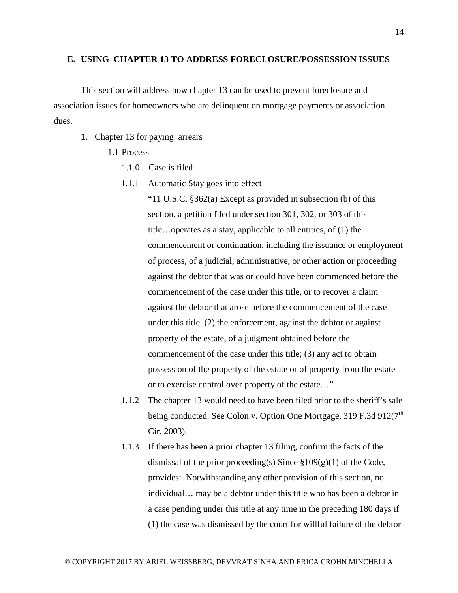### **E. USING CHAPTER 13 TO ADDRESS FORECLOSURE/POSSESSION ISSUES**

This section will address how chapter 13 can be used to prevent foreclosure and association issues for homeowners who are delinquent on mortgage payments or association dues.

- 1. Chapter 13 for paying arrears
	- 1.1 Process
		- 1.1.0 Case is filed
		- 1.1.1 Automatic Stay goes into effect

"11 U.S.C. §362(a) Except as provided in subsection (b) of this section, a petition filed under section 301, 302, or 303 of this title…operates as a stay, applicable to all entities, of (1) the commencement or continuation, including the issuance or employment of process, of a judicial, administrative, or other action or proceeding against the debtor that was or could have been commenced before the commencement of the case under this title, or to recover a claim against the debtor that arose before the commencement of the case under this title. (2) the enforcement, against the debtor or against property of the estate, of a judgment obtained before the commencement of the case under this title; (3) any act to obtain possession of the property of the estate or of property from the estate or to exercise control over property of the estate…"

- 1.1.2 The chapter 13 would need to have been filed prior to the sheriff's sale being conducted. See Colon v. Option One Mortgage, 319 F.3d 912(7<sup>th</sup>) Cir. 2003).
- 1.1.3 If there has been a prior chapter 13 filing, confirm the facts of the dismissal of the prior proceeding(s) Since  $\S 109(g)(1)$  of the Code, provides: Notwithstanding any other provision of this section, no individual… may be a debtor under this title who has been a debtor in a case pending under this title at any time in the preceding 180 days if (1) the case was dismissed by the court for willful failure of the debtor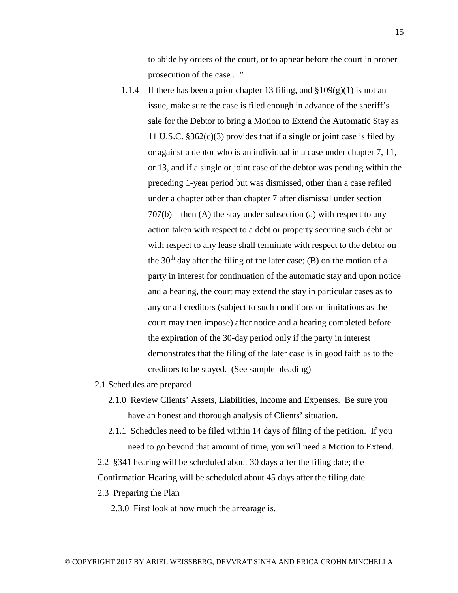to abide by orders of the court, or to appear before the court in proper prosecution of the case . ."

- 1.1.4 If there has been a prior chapter 13 filing, and  $\S 109(g)(1)$  is not an issue, make sure the case is filed enough in advance of the sheriff's sale for the Debtor to bring a Motion to Extend the Automatic Stay as 11 U.S.C. §362(c)(3) provides that if a single or joint case is filed by or against a debtor who is an individual in a case under chapter 7, 11, or 13, and if a single or joint case of the debtor was pending within the preceding 1-year period but was dismissed, other than a case refiled under a chapter other than chapter 7 after dismissal under section 707(b)—then (A) the stay under subsection (a) with respect to any action taken with respect to a debt or property securing such debt or with respect to any lease shall terminate with respect to the debtor on the  $30<sup>th</sup>$  day after the filing of the later case; (B) on the motion of a party in interest for continuation of the automatic stay and upon notice and a hearing, the court may extend the stay in particular cases as to any or all creditors (subject to such conditions or limitations as the court may then impose) after notice and a hearing completed before the expiration of the 30-day period only if the party in interest demonstrates that the filing of the later case is in good faith as to the creditors to be stayed. (See sample pleading)
- 2.1 Schedules are prepared
	- 2.1.0 Review Clients' Assets, Liabilities, Income and Expenses. Be sure you have an honest and thorough analysis of Clients' situation.
	- 2.1.1 Schedules need to be filed within 14 days of filing of the petition. If you need to go beyond that amount of time, you will need a Motion to Extend.

2.2 §341 hearing will be scheduled about 30 days after the filing date; the Confirmation Hearing will be scheduled about 45 days after the filing date.

2.3 Preparing the Plan

2.3.0 First look at how much the arrearage is.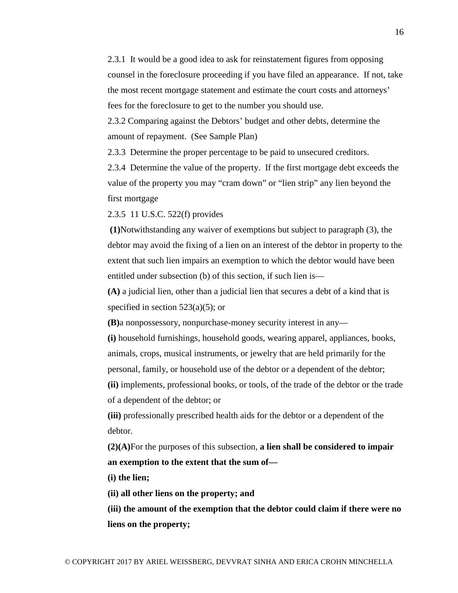2.3.1 It would be a good idea to ask for reinstatement figures from opposing counsel in the foreclosure proceeding if you have filed an appearance. If not, take the most recent mortgage statement and estimate the court costs and attorneys' fees for the foreclosure to get to the number you should use.

2.3.2 Comparing against the Debtors' budget and other debts, determine the amount of repayment. (See Sample Plan)

2.3.3 Determine the proper percentage to be paid to unsecured creditors.

2.3.4 Determine the value of the property. If the first mortgage debt exceeds the value of the property you may "cram down" or "lien strip" any lien beyond the first mortgage

2.3.5 11 U.S.C. 522(f) provides

**(1)**Notwithstanding any waiver of exemptions but subject to paragraph (3), the debtor may avoid the fixing of a lien on an interest of the debtor in property to the extent that such lien impairs an exemption to which the debtor would have been entitled under subsection (b) of this section, if such lien is—

**(A)** a judicial lien, other than a judicial lien that secures a debt of a kind that is specified in section  $523(a)(5)$ ; or

**(B)**a nonpossessory, nonpurchase-money security interest in any—

**(i)** household furnishings, household goods, wearing apparel, appliances, books, animals, crops, musical instruments, or jewelry that are held primarily for the personal, family, or household use of the debtor or a dependent of the debtor;

**(ii)** implements, professional books, or tools, of the trade of the debtor or the trade of a dependent of the debtor; or

**(iii)** professionally prescribed health aids for the debtor or a dependent of the debtor.

**(2)(A)**For the purposes of this subsection, **a lien shall be considered to impair an exemption to the extent that the sum of—**

**(i) the lien;**

**(ii) all other liens on the property; and**

**(iii) the amount of the exemption that the debtor could claim if there were no liens on the property;**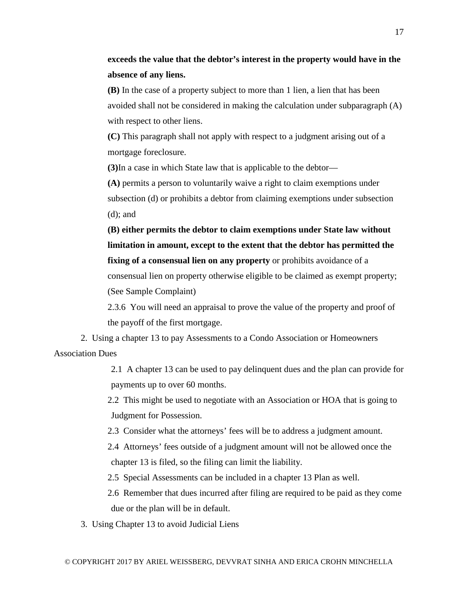**(B)** In the case of a property subject to more than 1 lien, a lien that has been avoided shall not be considered in making the calculation under subparagraph (A) with respect to other liens.

**(C)** This paragraph shall not apply with respect to a judgment arising out of a mortgage foreclosure.

**(3)**In a case in which State law that is applicable to the debtor—

**(A)** permits a person to voluntarily waive a right to claim exemptions under subsection (d) or prohibits a debtor from claiming exemptions under subsection (d); and

**(B) either permits the debtor to claim exemptions under State law without limitation in amount, except to the extent that the debtor has permitted the fixing of a consensual lien on any property** or prohibits avoidance of a consensual lien on property otherwise eligible to be claimed as exempt property; (See Sample Complaint)

2.3.6 You will need an appraisal to prove the value of the property and proof of the payoff of the first mortgage.

2. Using a chapter 13 to pay Assessments to a Condo Association or Homeowners Association Dues

> 2.1 A chapter 13 can be used to pay delinquent dues and the plan can provide for payments up to over 60 months.

2.2 This might be used to negotiate with an Association or HOA that is going to Judgment for Possession.

2.3 Consider what the attorneys' fees will be to address a judgment amount.

2.4 Attorneys' fees outside of a judgment amount will not be allowed once the chapter 13 is filed, so the filing can limit the liability.

2.5 Special Assessments can be included in a chapter 13 Plan as well.

2.6 Remember that dues incurred after filing are required to be paid as they come due or the plan will be in default.

3. Using Chapter 13 to avoid Judicial Liens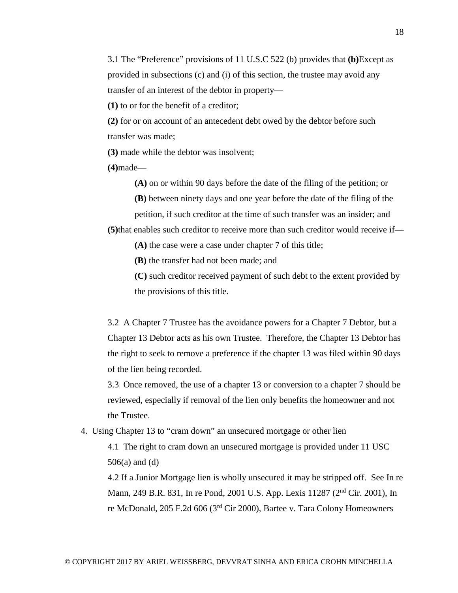3.1 The "Preference" provisions of 11 U.S.C 522 (b) provides that **(b)**Except as provided in subsections (c) and (i) of this section, the trustee may avoid any transfer of an interest of the debtor in property—

**(1)** to or for the benefit of a creditor;

**(2)** for or on account of an antecedent debt owed by the debtor before such transfer was made;

**(3)** made while the debtor was insolvent;

**(4)**made—

**(A)** on or within 90 days before the date of the filing of the petition; or

**(B)** between ninety days and one year before the date of the filing of the

petition, if such creditor at the time of such transfer was an insider; and **(5)**that enables such creditor to receive more than such creditor would receive if—

**(A)** the case were a case under [chapter 7 of this title;](https://www.law.cornell.edu/uscode/text/11/chapter-7)

**(B)** the transfer had not been made; and

**(C)** such creditor received payment of such debt to the extent provided by the provisions of this title.

3.2 A Chapter 7 Trustee has the avoidance powers for a Chapter 7 Debtor, but a Chapter 13 Debtor acts as his own Trustee. Therefore, the Chapter 13 Debtor has the right to seek to remove a preference if the chapter 13 was filed within 90 days of the lien being recorded.

3.3 Once removed, the use of a chapter 13 or conversion to a chapter 7 should be reviewed, especially if removal of the lien only benefits the homeowner and not the Trustee.

4. Using Chapter 13 to "cram down" an unsecured mortgage or other lien

4.1 The right to cram down an unsecured mortgage is provided under 11 USC 506(a) and (d)

4.2 If a Junior Mortgage lien is wholly unsecured it may be stripped off. See In re Mann, 249 B.R. 831, In re Pond, 2001 U.S. App. Lexis 11287 (2nd Cir. 2001), In re McDonald, 205 F.2d 606 (3rd Cir 2000), Bartee v. Tara Colony Homeowners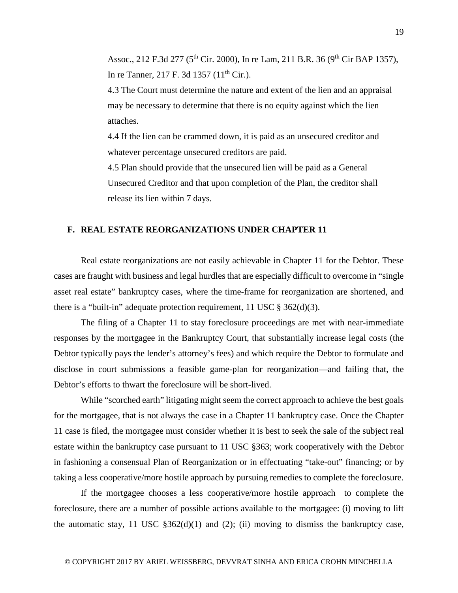Assoc., 212 F.3d 277 (5<sup>th</sup> Cir. 2000), In re Lam, 211 B.R. 36 (9<sup>th</sup> Cir BAP 1357), In re Tanner, 217 F. 3d 1357 ( $11^{th}$  Cir.).

4.3 The Court must determine the nature and extent of the lien and an appraisal may be necessary to determine that there is no equity against which the lien attaches.

4.4 If the lien can be crammed down, it is paid as an unsecured creditor and whatever percentage unsecured creditors are paid.

4.5 Plan should provide that the unsecured lien will be paid as a General Unsecured Creditor and that upon completion of the Plan, the creditor shall release its lien within 7 days.

#### **F. REAL ESTATE REORGANIZATIONS UNDER CHAPTER 11**

Real estate reorganizations are not easily achievable in Chapter 11 for the Debtor. These cases are fraught with business and legal hurdles that are especially difficult to overcome in "single asset real estate" bankruptcy cases, where the time-frame for reorganization are shortened, and there is a "built-in" adequate protection requirement, 11 USC  $\S 362(d)(3)$ .

The filing of a Chapter 11 to stay foreclosure proceedings are met with near-immediate responses by the mortgagee in the Bankruptcy Court, that substantially increase legal costs (the Debtor typically pays the lender's attorney's fees) and which require the Debtor to formulate and disclose in court submissions a feasible game-plan for reorganization—and failing that, the Debtor's efforts to thwart the foreclosure will be short-lived.

While "scorched earth" litigating might seem the correct approach to achieve the best goals for the mortgagee, that is not always the case in a Chapter 11 bankruptcy case. Once the Chapter 11 case is filed, the mortgagee must consider whether it is best to seek the sale of the subject real estate within the bankruptcy case pursuant to 11 USC §363; work cooperatively with the Debtor in fashioning a consensual Plan of Reorganization or in effectuating "take-out" financing; or by taking a less cooperative/more hostile approach by pursuing remedies to complete the foreclosure.

If the mortgagee chooses a less cooperative/more hostile approach to complete the foreclosure, there are a number of possible actions available to the mortgagee: (i) moving to lift the automatic stay, 11 USC  $$362(d)(1)$  and (2); (ii) moving to dismiss the bankruptcy case,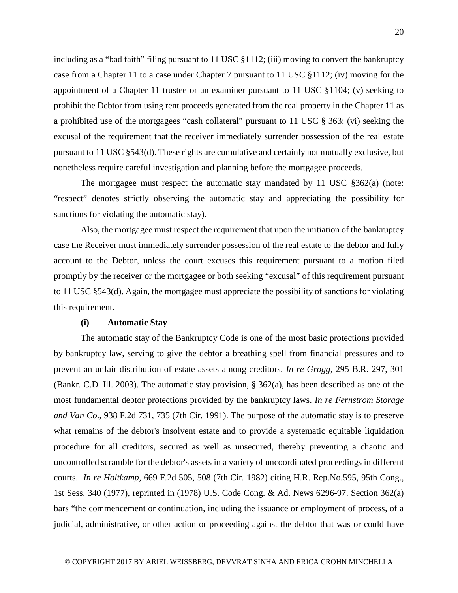including as a "bad faith" filing pursuant to 11 USC §1112; (iii) moving to convert the bankruptcy case from a Chapter 11 to a case under Chapter 7 pursuant to 11 USC §1112; (iv) moving for the appointment of a Chapter 11 trustee or an examiner pursuant to 11 USC §1104; (v) seeking to prohibit the Debtor from using rent proceeds generated from the real property in the Chapter 11 as a prohibited use of the mortgagees "cash collateral" pursuant to 11 USC § 363; (vi) seeking the excusal of the requirement that the receiver immediately surrender possession of the real estate pursuant to 11 USC §543(d). These rights are cumulative and certainly not mutually exclusive, but nonetheless require careful investigation and planning before the mortgagee proceeds.

The mortgagee must respect the automatic stay mandated by 11 USC §362(a) (note: "respect" denotes strictly observing the automatic stay and appreciating the possibility for sanctions for violating the automatic stay).

Also, the mortgagee must respect the requirement that upon the initiation of the bankruptcy case the Receiver must immediately surrender possession of the real estate to the debtor and fully account to the Debtor, unless the court excuses this requirement pursuant to a motion filed promptly by the receiver or the mortgagee or both seeking "excusal" of this requirement pursuant to 11 USC §543(d). Again, the mortgagee must appreciate the possibility of sanctions for violating this requirement.

#### **(i) Automatic Stay**

The automatic stay of the Bankruptcy Code is one of the most basic protections provided by bankruptcy law, serving to give the debtor a breathing spell from financial pressures and to prevent an unfair distribution of estate assets among creditors. *In re Grogg*, 295 B.R. 297, 301 (Bankr. C.D. Ill. 2003). The automatic stay provision, § 362(a), has been described as one of the most fundamental debtor protections provided by the bankruptcy laws. *In re Fernstrom Storage and Van Co*., 938 F.2d 731, 735 (7th Cir. 1991). The purpose of the automatic stay is to preserve what remains of the debtor's insolvent estate and to provide a systematic equitable liquidation procedure for all creditors, secured as well as unsecured, thereby preventing a chaotic and uncontrolled scramble for the debtor's assets in a variety of uncoordinated proceedings in different courts. *In re Holtkamp*, 669 F.2d 505, 508 (7th Cir. 1982) citing H.R. Rep.No.595, 95th Cong., 1st Sess. 340 (1977), reprinted in (1978) U.S. Code Cong. & Ad. News 6296-97. Section 362(a) bars "the commencement or continuation, including the issuance or employment of process, of a judicial, administrative, or other action or proceeding against the debtor that was or could have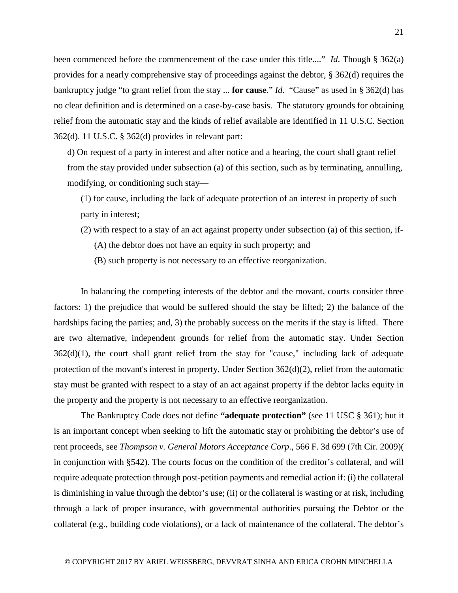been commenced before the commencement of the case under this title...." *Id*. Though § 362(a) provides for a nearly comprehensive stay of proceedings against the debtor, § 362(d) requires the bankruptcy judge "to grant relief from the stay ... **for cause**." *Id*. "Cause" as used in § 362(d) has no clear definition and is determined on a case-by-case basis. The statutory grounds for obtaining relief from the automatic stay and the kinds of relief available are identified in 11 U.S.C. Section 362(d). 11 U.S.C. § 362(d) provides in relevant part:

d) On request of a party in interest and after notice and a hearing, the court shall grant relief from the stay provided under subsection (a) of this section, such as by terminating, annulling, modifying, or conditioning such stay—

(1) for cause, including the lack of adequate protection of an interest in property of such party in interest;

(2) with respect to a stay of an act against property under subsection (a) of this section, if-

(A) the debtor does not have an equity in such property; and

(B) such property is not necessary to an effective reorganization.

In balancing the competing interests of the debtor and the movant, courts consider three factors: 1) the prejudice that would be suffered should the stay be lifted; 2) the balance of the hardships facing the parties; and, 3) the probably success on the merits if the stay is lifted. There are two alternative, independent grounds for relief from the automatic stay. Under Section  $362(d)(1)$ , the court shall grant relief from the stay for "cause," including lack of adequate protection of the movant's interest in property. Under Section  $362(d)(2)$ , relief from the automatic stay must be granted with respect to a stay of an act against property if the debtor lacks equity in the property and the property is not necessary to an effective reorganization.

The Bankruptcy Code does not define **"adequate protection"** (see 11 USC § 361); but it is an important concept when seeking to lift the automatic stay or prohibiting the debtor's use of rent proceeds, see *Thompson v. General Motors Acceptance Corp*., 566 F. 3d 699 (7th Cir. 2009)( in conjunction with §542). The courts focus on the condition of the creditor's collateral, and will require adequate protection through post-petition payments and remedial action if: (i) the collateral is diminishing in value through the debtor's use; (ii) or the collateral is wasting or at risk, including through a lack of proper insurance, with governmental authorities pursuing the Debtor or the collateral (e.g., building code violations), or a lack of maintenance of the collateral. The debtor's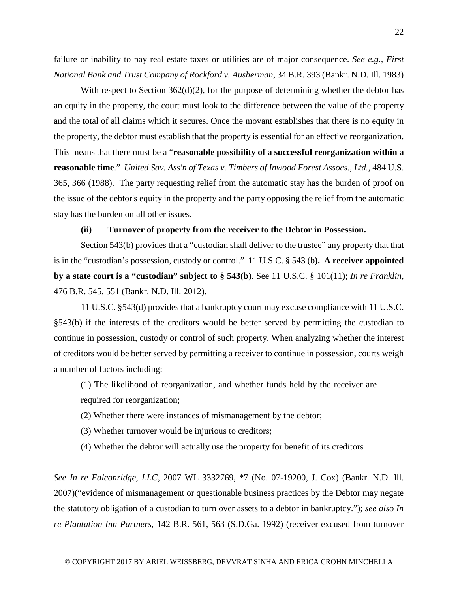failure or inability to pay real estate taxes or utilities are of major consequence. *See e.g., First National Bank and Trust Company of Rockford v. Ausherman*, 34 B.R. 393 (Bankr. N.D. Ill. 1983)

With respect to Section 362(d)(2), for the purpose of determining whether the debtor has an equity in the property, the court must look to the difference between the value of the property and the total of all claims which it secures. Once the movant establishes that there is no equity in the property, the debtor must establish that the property is essential for an effective reorganization. This means that there must be a "**reasonable possibility of a successful reorganization within a reasonable time**." *United Sav. Ass'n of Texas v. Timbers of Inwood Forest Assocs., Ltd.*, 484 U.S. 365, 366 (1988). The party requesting relief from the automatic stay has the burden of proof on the issue of the debtor's equity in the property and the party opposing the relief from the automatic stay has the burden on all other issues.

#### **(ii) Turnover of property from the receiver to the Debtor in Possession.**

Section 543(b) provides that a "custodian shall deliver to the trustee" any property that that is in the "custodian's possession, custody or control." 11 U.S.C. § 543 (b**). A receiver appointed by a state court is a "custodian" subject to § 543(b)**. See 11 U.S.C. § 101(11); *In re Franklin*, 476 B.R. 545, 551 (Bankr. N.D. Ill. 2012).

11 U.S.C. §543(d) provides that a bankruptcy court may excuse compliance with 11 U.S.C. §543(b) if the interests of the creditors would be better served by permitting the custodian to continue in possession, custody or control of such property. When analyzing whether the interest of creditors would be better served by permitting a receiver to continue in possession, courts weigh a number of factors including:

(1) The likelihood of reorganization, and whether funds held by the receiver are required for reorganization;

- (2) Whether there were instances of mismanagement by the debtor;
- (3) Whether turnover would be injurious to creditors;
- (4) Whether the debtor will actually use the property for benefit of its creditors

*See In re Falconridge, LLC*, 2007 WL 3332769, \*7 (No. 07-19200, J. Cox) (Bankr. N.D. Ill. 2007)("evidence of mismanagement or questionable business practices by the Debtor may negate the statutory obligation of a custodian to turn over assets to a debtor in bankruptcy."); *see also In re Plantation Inn Partners*, 142 B.R. 561, 563 (S.D.Ga. 1992) (receiver excused from turnover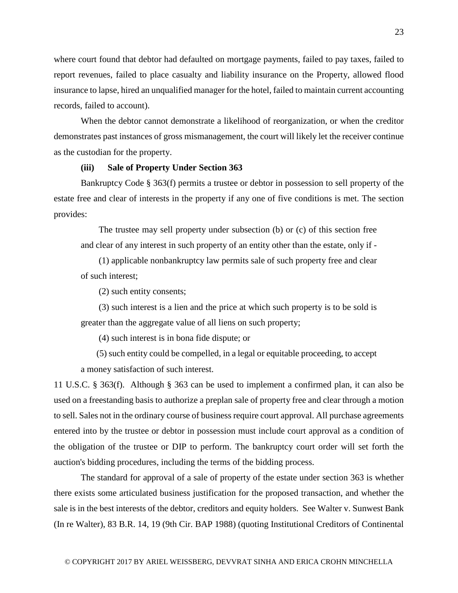where court found that debtor had defaulted on mortgage payments, failed to pay taxes, failed to report revenues, failed to place casualty and liability insurance on the Property, allowed flood insurance to lapse, hired an unqualified manager for the hotel, failed to maintain current accounting records, failed to account).

When the debtor cannot demonstrate a likelihood of reorganization, or when the creditor demonstrates past instances of gross mismanagement, the court will likely let the receiver continue as the custodian for the property.

#### **(iii) Sale of Property Under Section 363**

Bankruptcy Code § 363(f) permits a trustee or debtor in possession to sell property of the estate free and clear of interests in the property if any one of five conditions is met. The section provides:

 The trustee may sell property under subsection (b) or (c) of this section free and clear of any interest in such property of an entity other than the estate, only if -

 (1) applicable nonbankruptcy law permits sale of such property free and clear of such interest;

(2) such entity consents;

 (3) such interest is a lien and the price at which such property is to be sold is greater than the aggregate value of all liens on such property;

(4) such interest is in bona fide dispute; or

 (5) such entity could be compelled, in a legal or equitable proceeding, to accept a money satisfaction of such interest.

11 U.S.C. § 363(f). Although § 363 can be used to implement a confirmed plan, it can also be used on a freestanding basis to authorize a preplan sale of property free and clear through a motion to sell. Sales not in the ordinary course of business require court approval. All purchase agreements entered into by the trustee or debtor in possession must include court approval as a condition of the obligation of the trustee or DIP to perform. The bankruptcy court order will set forth the auction's bidding procedures, including the terms of the bidding process.

The standard for approval of a sale of property of the estate under section 363 is whether there exists some articulated business justification for the proposed transaction, and whether the sale is in the best interests of the debtor, creditors and equity holders. See Walter v. Sunwest Bank (In re Walter), 83 B.R. 14, 19 (9th Cir. BAP 1988) (quoting Institutional Creditors of Continental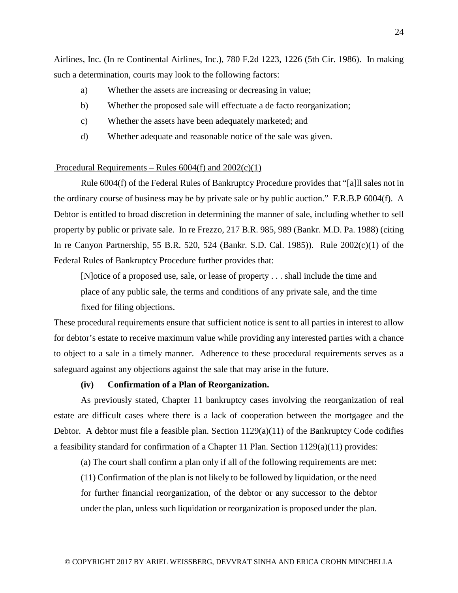Airlines, Inc. (In re Continental Airlines, Inc.), 780 F.2d 1223, 1226 (5th Cir. 1986). In making such a determination, courts may look to the following factors:

- a) Whether the assets are increasing or decreasing in value;
- b) Whether the proposed sale will effectuate a de facto reorganization;
- c) Whether the assets have been adequately marketed; and
- d) Whether adequate and reasonable notice of the sale was given.

#### Procedural Requirements – Rules  $6004(f)$  and  $2002(c)(1)$

Rule 6004(f) of the Federal Rules of Bankruptcy Procedure provides that "[a]ll sales not in the ordinary course of business may be by private sale or by public auction." F.R.B.P 6004(f). A Debtor is entitled to broad discretion in determining the manner of sale, including whether to sell property by public or private sale. In re Frezzo, 217 B.R. 985, 989 (Bankr. M.D. Pa. 1988) (citing In re Canyon Partnership, 55 B.R. 520, 524 (Bankr. S.D. Cal. 1985)). Rule 2002(c)(1) of the Federal Rules of Bankruptcy Procedure further provides that:

[N]otice of a proposed use, sale, or lease of property . . . shall include the time and place of any public sale, the terms and conditions of any private sale, and the time fixed for filing objections.

These procedural requirements ensure that sufficient notice is sent to all parties in interest to allow for debtor's estate to receive maximum value while providing any interested parties with a chance to object to a sale in a timely manner. Adherence to these procedural requirements serves as a safeguard against any objections against the sale that may arise in the future.

# **(iv) Confirmation of a Plan of Reorganization.**

As previously stated, Chapter 11 bankruptcy cases involving the reorganization of real estate are difficult cases where there is a lack of cooperation between the mortgagee and the Debtor. A debtor must file a feasible plan. Section  $1129(a)(11)$  of the Bankruptcy Code codifies a feasibility standard for confirmation of a Chapter 11 Plan. Section  $1129(a)(11)$  provides:

(a) The court shall confirm a plan only if all of the following requirements are met:

(11) Confirmation of the plan is not likely to be followed by liquidation, or the need for further financial reorganization, of the debtor or any successor to the debtor under the plan, unless such liquidation or reorganization is proposed under the plan.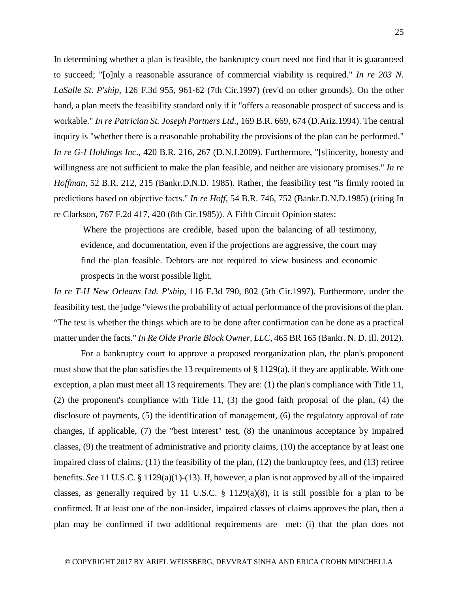In determining whether a plan is feasible, the bankruptcy court need not find that it is guaranteed to succeed; "[o]nly a reasonable assurance of commercial viability is required." *In re 203 N. LaSalle St. P'ship*, 126 F.3d 955, 961-62 (7th Cir.1997) (rev'd on other grounds). On the other hand, a plan meets the feasibility standard only if it "offers a reasonable prospect of success and is workable." *In re Patrician St. Joseph Partners Ltd*., 169 B.R. 669, 674 (D.Ariz.1994). The central inquiry is "whether there is a reasonable probability the provisions of the plan can be performed." *In re G-I Holdings Inc*., 420 B.R. 216, 267 (D.N.J.2009). Furthermore, "[s]incerity, honesty and willingness are not sufficient to make the plan feasible, and neither are visionary promises." *In re Hoffman*, 52 B.R. 212, 215 (Bankr.D.N.D. 1985). Rather, the feasibility test "is firmly rooted in predictions based on objective facts." *In re Hoff*, 54 B.R. 746, 752 (Bankr.D.N.D.1985) (citing In re Clarkson, 767 F.2d 417, 420 (8th Cir.1985)). A Fifth Circuit Opinion states:

Where the projections are credible, based upon the balancing of all testimony, evidence, and documentation, even if the projections are aggressive, the court may find the plan feasible. Debtors are not required to view business and economic prospects in the worst possible light.

*In re T-H New Orleans Ltd. P'ship,* 116 F.3d 790, 802 (5th Cir.1997). Furthermore, under the feasibility test, the judge "views the probability of actual performance of the provisions of the plan. "The test is whether the things which are to be done after confirmation can be done as a practical matter under the facts." *In Re Olde Prarie Block Owner, LLC*, 465 BR 165 (Bankr. N. D. Ill. 2012).

For a bankruptcy court to approve a proposed reorganization plan, the plan's proponent must show that the plan satisfies the 13 requirements of  $\S 1129(a)$ , if they are applicable. With one exception, a plan must meet all 13 requirements. They are: (1) the plan's compliance with Title 11, (2) the proponent's compliance with Title 11, (3) the good faith proposal of the plan, (4) the disclosure of payments, (5) the identification of management, (6) the regulatory approval of rate changes, if applicable, (7) the "best interest" test, (8) the unanimous acceptance by impaired classes, (9) the treatment of administrative and priority claims, (10) the acceptance by at least one impaired class of claims, (11) the feasibility of the plan, (12) the bankruptcy fees, and (13) retiree benefits. *See* 11 U.S.C. § 1129(a)(1)-(13). If, however, a plan is not approved by all of the impaired classes, as generally required by 11 U.S.C.  $\S$  1129(a)(8), it is still possible for a plan to be confirmed. If at least one of the non-insider, impaired classes of claims approves the plan, then a plan may be confirmed if two additional requirements are met: (i) that the plan does not